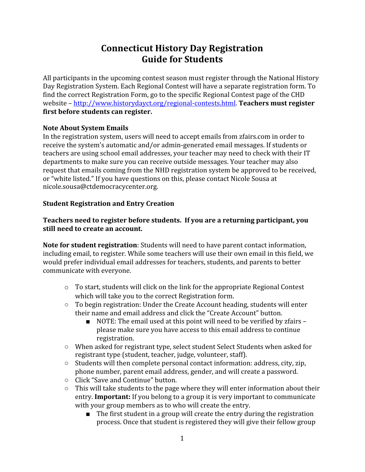# **Connecticut History Day Registration Guide for Students**

All participants in the upcoming contest season must register through the National History Day Registration System. Each Regional Contest will have a separate registration form. To find the correct Registration Form, go to the specific Regional Contest page of the CHD website – <http://www.historydayct.org/regional-contests.html>. **Teachers must register first before students can register.**

### **Note About System Emails**

In the registration system, users will need to accept emails from zfairs.com in order to receive the system's automatic and/or admin-generated email messages. If students or teachers are using school email addresses, your teacher may need to check with their IT departments to make sure you can receive outside messages. Your teacher may also request that emails coming from the NHD registration system be approved to be received, or "white listed." If you have questions on this, please contact Nicole Sousa at nicole.sousa@ctdemocracycenter.org.

## **Student Registration and Entry Creation**

## **Teachers need to register before students. If you are a returning participant, you still need to create an account.**

**Note for student registration**: Students will need to have parent contact information, including email, to register. While some teachers will use their own email in this field, we would prefer individual email addresses for teachers, students, and parents to better communicate with everyone.

- $\circ$  To start, students will click on the link for the appropriate Regional Contest which will take you to the correct Registration form.
- To begin registration: Under the Create Account heading, students will enter their name and email address and click the "Create Account" button.
	- NOTE: The email used at this point will need to be verified by zfairs please make sure you have access to this email address to continue registration.
- When asked for registrant type, select student Select Students when asked for registrant type (student, teacher, judge, volunteer, staff).
- Students will then complete personal contact information: address, city, zip, phone number, parent email address, gender, and will create a password.
- Click "Save and Continue" button.
- This will take students to the page where they will enter information about their entry. **Important:** If you belong to a group it is very important to communicate with your group members as to who will create the entry.
	- The first student in a group will create the entry during the registration process. Once that student is registered they will give their fellow group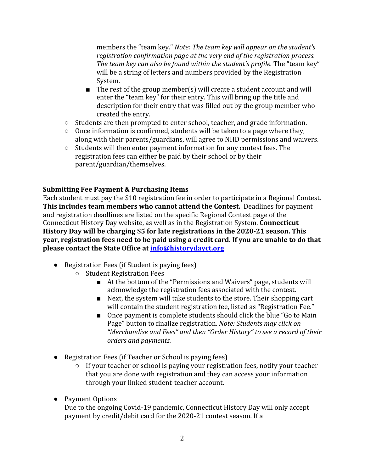members the "team key." *Note: The team key will appear on the student's registration confirmation page at the very end of the registration process. The team key can also be found within the student's profile.* The "team key" will be a string of letters and numbers provided by the Registration System.

- The rest of the group member(s) will create a student account and will enter the "team key" for their entry. This will bring up the title and description for their entry that was filled out by the group member who created the entry.
- Students are then prompted to enter school, teacher, and grade information.
- Once information is confirmed, students will be taken to a page where they, along with their parents/guardians, will agree to NHD permissions and waivers.
- Students will then enter payment information for any contest fees. The registration fees can either be paid by their school or by their parent/guardian/themselves.

## **Submitting Fee Payment & Purchasing Items**

Each student must pay the \$10 registration fee in order to participate in a Regional Contest. **This includes team members who cannot attend the Contest.** Deadlines for payment and registration deadlines are listed on the specific Regional Contest page of the Connecticut History Day website, as well as in the Registration System. **Connecticut History Day will be charging \$5 for late registrations in the 2020-21 season. This year, registration fees need to be paid using a credit card. If you are unable to do that please contact the State Office at [info@historydayct.org](mailto:info@historydayct.org)**

- Registration Fees (if Student is paying fees)
	- Student Registration Fees
		- At the bottom of the "Permissions and Waivers" page, students will acknowledge the registration fees associated with the contest.
		- Next, the system will take students to the store. Their shopping cart will contain the student registration fee, listed as "Registration Fee."
		- Once payment is complete students should click the blue "Go to Main Page" button to finalize registration. *Note: Students may click on "Merchandise and Fees" and then "Order History" to see a record of their orders and payments.*
- Registration Fees (if Teacher or School is paying fees)
	- If your teacher or school is paying your registration fees, notify your teacher that you are done with registration and they can access your information through your linked student-teacher account.
- Payment Options

Due to the ongoing Covid-19 pandemic, Connecticut History Day will only accept payment by credit/debit card for the 2020-21 contest season. If a